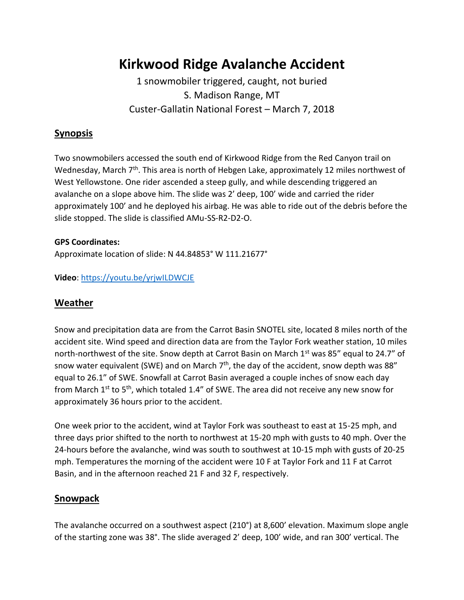# **Kirkwood Ridge Avalanche Accident**

# 1 snowmobiler triggered, caught, not buried S. Madison Range, MT Custer-Gallatin National Forest – March 7, 2018

### **Synopsis**

Two snowmobilers accessed the south end of Kirkwood Ridge from the Red Canyon trail on Wednesday, March 7<sup>th</sup>. This area is north of Hebgen Lake, approximately 12 miles northwest of West Yellowstone. One rider ascended a steep gully, and while descending triggered an avalanche on a slope above him. The slide was 2' deep, 100' wide and carried the rider approximately 100' and he deployed his airbag. He was able to ride out of the debris before the slide stopped. The slide is classified AMu-SS-R2-D2-O.

#### **GPS Coordinates:**

Approximate location of slide: N 44.84853° W 111.21677°

**Video**: <https://youtu.be/yrjwILDWCJE>

#### **Weather**

Snow and precipitation data are from the Carrot Basin SNOTEL site, located 8 miles north of the accident site. Wind speed and direction data are from the Taylor Fork weather station, 10 miles north-northwest of the site. Snow depth at Carrot Basin on March 1<sup>st</sup> was 85" equal to 24.7" of snow water equivalent (SWE) and on March  $7<sup>th</sup>$ , the day of the accident, snow depth was 88" equal to 26.1" of SWE. Snowfall at Carrot Basin averaged a couple inches of snow each day from March  $1^{st}$  to  $5^{th}$ , which totaled 1.4" of SWE. The area did not receive any new snow for approximately 36 hours prior to the accident.

One week prior to the accident, wind at Taylor Fork was southeast to east at 15-25 mph, and three days prior shifted to the north to northwest at 15-20 mph with gusts to 40 mph. Over the 24-hours before the avalanche, wind was south to southwest at 10-15 mph with gusts of 20-25 mph. Temperatures the morning of the accident were 10 F at Taylor Fork and 11 F at Carrot Basin, and in the afternoon reached 21 F and 32 F, respectively.

#### **Snowpack**

The avalanche occurred on a southwest aspect (210°) at 8,600' elevation. Maximum slope angle of the starting zone was 38°. The slide averaged 2' deep, 100' wide, and ran 300' vertical. The